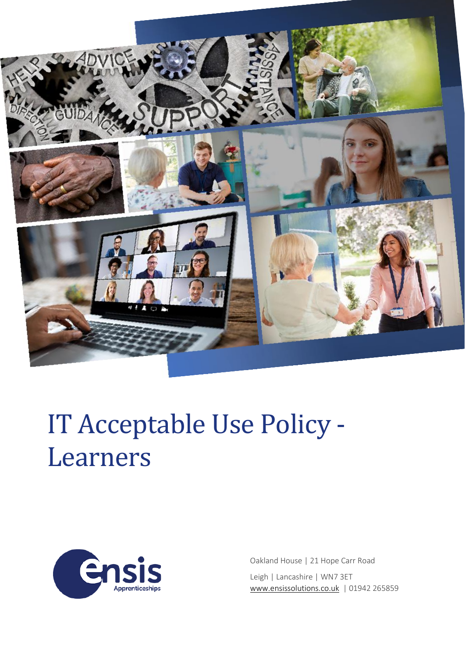

# IT Acceptable Use Policy - Learners



Oakland House | 21 Hope Carr Road Leigh | Lancashire | WN7 3ET [www.ensissolutions.co.uk](http://www.ensissolutions.co.uk/) | 01942 265859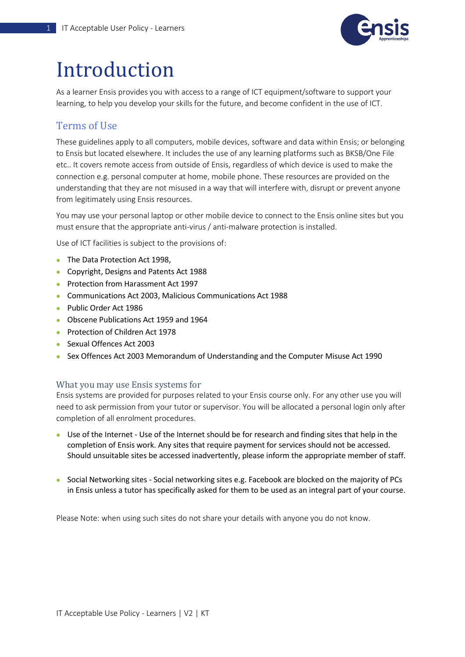

# Introduction

As a learner Ensis provides you with access to a range of ICT equipment/software to support your learning, to help you develop your skills for the future, and become confident in the use of ICT.

## Terms of Use

These guidelines apply to all computers, mobile devices, software and data within Ensis; or belonging to Ensis but located elsewhere. It includes the use of any learning platforms such as BKSB/One File etc.. It covers remote access from outside of Ensis, regardless of which device is used to make the connection e.g. personal computer at home, mobile phone. These resources are provided on the understanding that they are not misused in a way that will interfere with, disrupt or prevent anyone from legitimately using Ensis resources.

You may use your personal laptop or other mobile device to connect to the Ensis online sites but you must ensure that the appropriate anti-virus / anti-malware protection is installed.

Use of ICT facilities is subject to the provisions of:

- The Data Protection Act 1998,
- Copyright, Designs and Patents Act 1988
- Protection from Harassment Act 1997
- Communications Act 2003, Malicious Communications Act 1988
- Public Order Act 1986
- Obscene Publications Act 1959 and 1964
- Protection of Children Act 1978
- Sexual Offences Act 2003
- Sex Offences Act 2003 Memorandum of Understanding and the Computer Misuse Act 1990

#### What you may use Ensis systems for

Ensis systems are provided for purposes related to your Ensis course only. For any other use you will need to ask permission from your tutor or supervisor. You will be allocated a personal login only after completion of all enrolment procedures.

- Use of the Internet Use of the Internet should be for research and finding sites that help in the completion of Ensis work. Any sites that require payment for services should not be accessed. Should unsuitable sites be accessed inadvertently, please inform the appropriate member of staff.
- Social Networking sites Social networking sites e.g. Facebook are blocked on the majority of PCs in Ensis unless a tutor has specifically asked for them to be used as an integral part of your course.

Please Note: when using such sites do not share your details with anyone you do not know.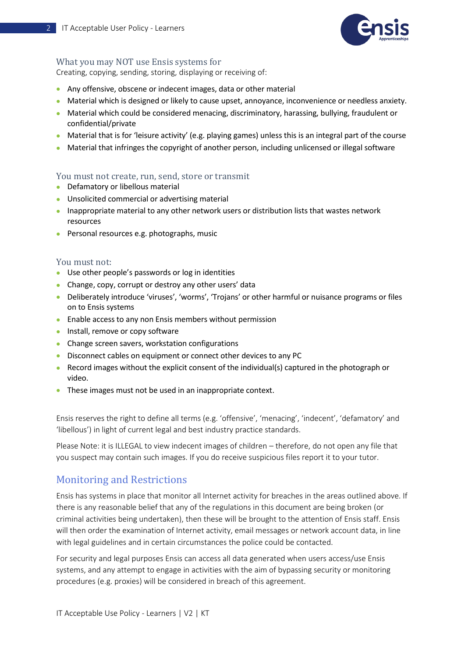

#### What you may NOT use Ensis systems for

Creating, copying, sending, storing, displaying or receiving of:

- Any offensive, obscene or indecent images, data or other material
- Material which is designed or likely to cause upset, annoyance, inconvenience or needless anxiety.
- Material which could be considered menacing, discriminatory, harassing, bullying, fraudulent or confidential/private
- Material that is for 'leisure activity' (e.g. playing games) unless this is an integral part of the course
- Material that infringes the copyright of another person, including unlicensed or illegal software

#### You must not create, run, send, store or transmit

- Defamatory or libellous material
- Unsolicited commercial or advertising material
- Inappropriate material to any other network users or distribution lists that wastes network resources
- Personal resources e.g. photographs, music

#### You must not:

- Use other people's passwords or log in identities
- Change, copy, corrupt or destroy any other users' data
- Deliberately introduce 'viruses', 'worms', 'Trojans' or other harmful or nuisance programs or files on to Ensis systems
- Enable access to any non Ensis members without permission
- Install, remove or copy software
- Change screen savers, workstation configurations
- Disconnect cables on equipment or connect other devices to any PC
- Record images without the explicit consent of the individual(s) captured in the photograph or video.
- These images must not be used in an inappropriate context.

Ensis reserves the right to define all terms (e.g. 'offensive', 'menacing', 'indecent', 'defamatory' and 'libellous') in light of current legal and best industry practice standards.

Please Note: it is ILLEGAL to view indecent images of children – therefore, do not open any file that you suspect may contain such images. If you do receive suspicious files report it to your tutor.

### Monitoring and Restrictions

Ensis has systems in place that monitor all Internet activity for breaches in the areas outlined above. If there is any reasonable belief that any of the regulations in this document are being broken (or criminal activities being undertaken), then these will be brought to the attention of Ensis staff. Ensis will then order the examination of Internet activity, email messages or network account data, in line with legal guidelines and in certain circumstances the police could be contacted.

For security and legal purposes Ensis can access all data generated when users access/use Ensis systems, and any attempt to engage in activities with the aim of bypassing security or monitoring procedures (e.g. proxies) will be considered in breach of this agreement.